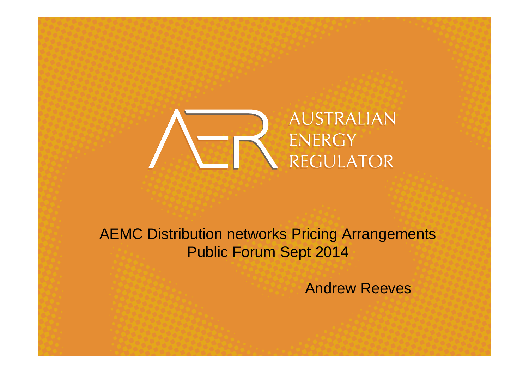

AEMC Distribution networks Pricing Arrangements Public Forum Sept 2014

Andrew Reeves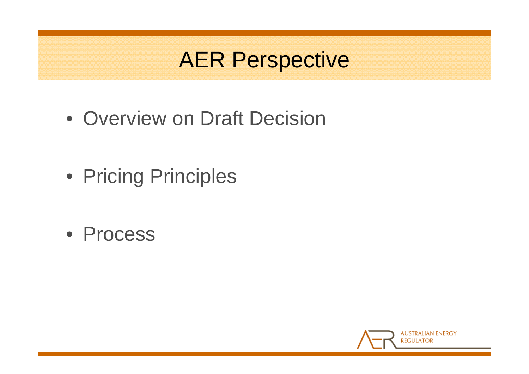## AER Perspective

- Overview on Draft Decision
- Pricing Principles
- Process

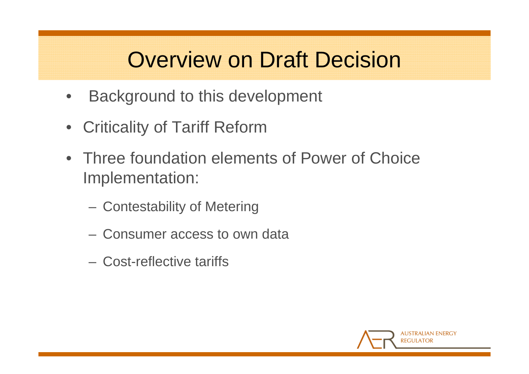### Overview on Draft Decision

- $\bullet$ Background to this development
- Criticality of Tariff Reform
- Three foundation elements of Power of Choice Implementation:
	- Contestability of Metering
	- Consumer access to own data
	- Cost-reflective tariffs

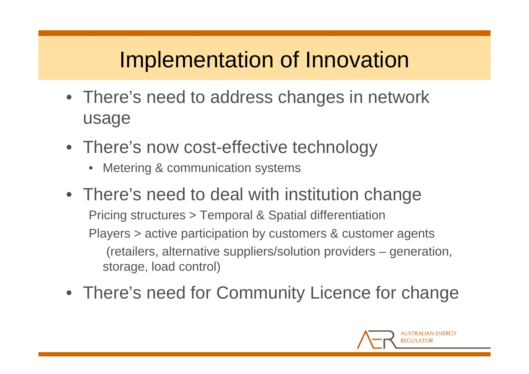# Implementation of Innovation

- There's need to address changes in network usage
- There's now cost-effective technology
	- Metering & communication systems
- There's need to deal with institution change Pricing structures > Temporal & Spatial differentiation Players > active participation by customers & customer agents (retailers, alternative suppliers/solution providers – generation, storage, load control)
- There's need for Community Licence for change

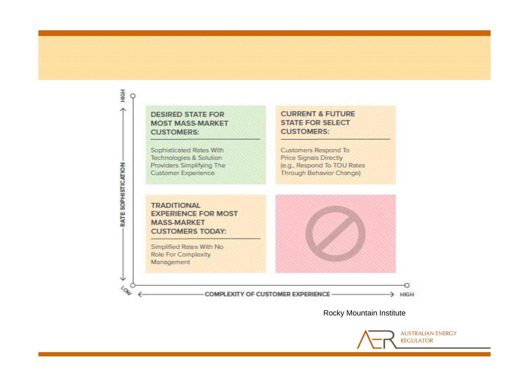#### **DESIRED STATE FOR MOST MASS-MARKET CUSTOMERS:**

HIGH  $\circ$ 

木

RATE SOPHISTICATION

640

Sophisticated Rates With Technologies & Solution Providers Simplifying The Customer Experience

**CURRENT & FUTURE STATE FOR SELECT CUSTOMERS:** 

Customers Respond To **Price Signals Directly** (e.g., Respond To TOU Rates Through Behavior Change)

#### **TRADITIONAL EXPERIENCE FOR MOST MASS-MARKET CUSTOMERS TODAY:**

Simplified Rates With No Role For Complexity Management

**COMPLEXITY OF CUSTOMER EXPERIENCE** 

HIGH

Rocky Mountain Institute

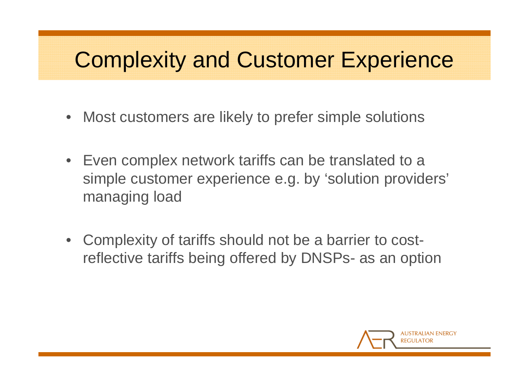#### Complexity and Customer Experience

- $\bullet$ Most customers are likely to prefer simple solutions
- Even complex network tariffs can be translated to a simple customer experience e.g. by 'solution providers' managing load
- Complexity of tariffs should not be a barrier to costreflective tariffs being offered by DNSPs- as an option

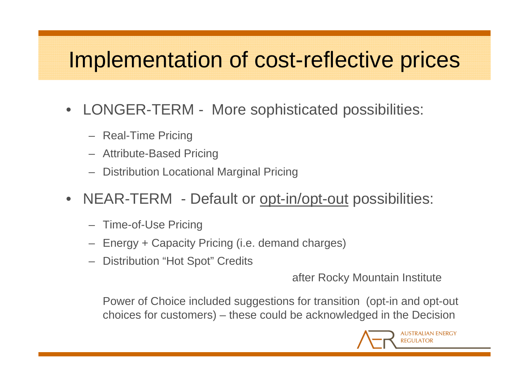## Implementation of cost-reflective prices

- $\bullet$  LONGER-TERM - More sophisticated possibilities:
	- Real-Time Pricing
	- Attribute-Based Pricing
	- –Distribution Locational Marginal Pricing
- $\bullet$  NEAR-TERM - Default or opt-in/opt-out possibilities:
	- –Time-of-Use Pricing
	- –Energy + Capacity Pricing (i.e. demand charges)
	- Distribution "Hot Spot" Credits

after Rocky Mountain Institute

Power of Choice included suggestions for transition (opt-in and opt-out choices for customers) – these could be acknowledged in the Decision

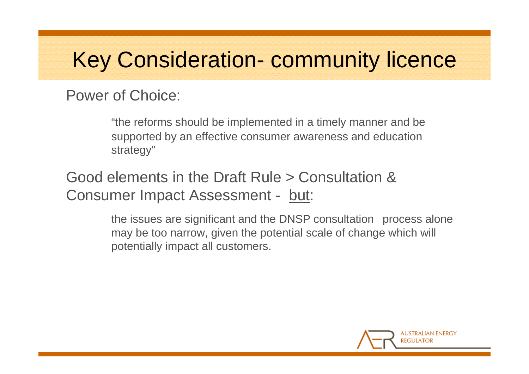# Key Consideration- community licence

Power of Choice:

"the reforms should be implemented in a timely manner and be supported by an effective consumer awareness and education strategy"

Good elements in the Draft Rule > Consultation &Consumer Impact Assessment - but:

> the issues are significant and the DNSP consultation process alone may be too narrow, given the potential scale of change which will potentially impact all customers.

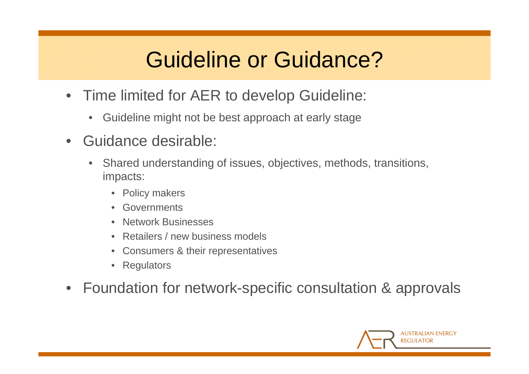# Guideline or Guidance?

- $\bullet$  Time limited for AER to develop Guideline:
	- $\bullet$ Guideline might not be best approach at early stage
- • Guidance desirable:
	- • Shared understanding of issues, objectives, methods, transitions, impacts:
		- Policy makers
		- Governments
		- Network Businesses
		- Retailers / new business models
		- Consumers & their representatives
		- Regulators
- $\bullet$ Foundation for network-specific consultation & approvals

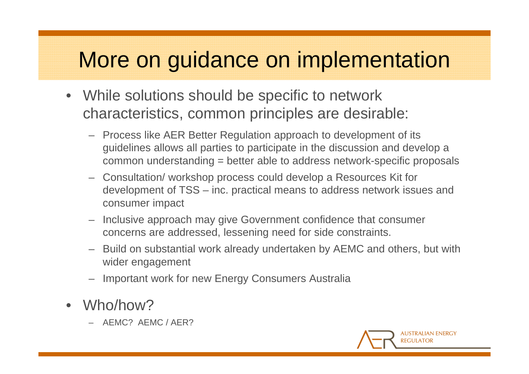### More on guidance on implementation

- While solutions should be specific to network characteristics, common principles are desirable:
	- Process like AER Better Regulation approach to development of its guidelines allows all parties to participate in the discussion and develop a common understanding = better able to address network-specific proposals
	- Consultation/ workshop process could develop a Resources Kit for development of TSS – inc. practical means to address network issues and consumer impact
	- Inclusive approach may give Government confidence that consumer concerns are addressed, lessening need for side constraints.
	- Build on substantial work already undertaken by AEMC and others, but with wider engagement
	- Important work for new Energy Consumers Australia
- • Who/how?
	- AEMC? AEMC / AER?